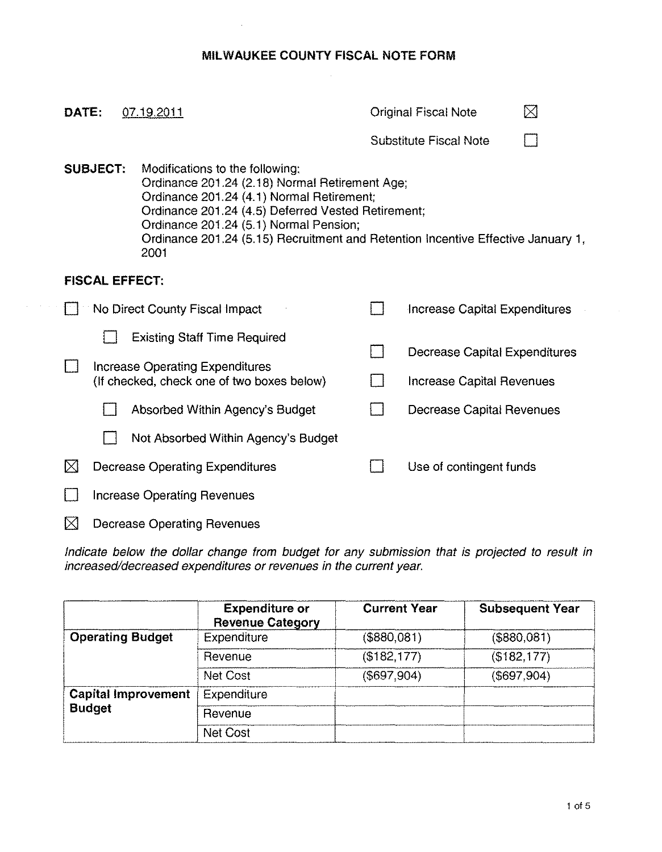## **MILWAUKEE COUNTY FISCAL NOTE FORM**

|                 | DATE:<br>07.19.2011                |                                        |                                                                                                                                                                                                                                                                                                                            |                               | ⊠<br><b>Original Fiscal Note</b>     |  |  |  |
|-----------------|------------------------------------|----------------------------------------|----------------------------------------------------------------------------------------------------------------------------------------------------------------------------------------------------------------------------------------------------------------------------------------------------------------------------|-------------------------------|--------------------------------------|--|--|--|
|                 |                                    |                                        |                                                                                                                                                                                                                                                                                                                            | <b>Substitute Fiscal Note</b> |                                      |  |  |  |
| <b>SUBJECT:</b> |                                    |                                        | Modifications to the following:<br>Ordinance 201.24 (2.18) Normal Retirement Age;<br>Ordinance 201.24 (4.1) Normal Retirement;<br>Ordinance 201.24 (4.5) Deferred Vested Retirement;<br>Ordinance 201.24 (5.1) Normal Pension;<br>Ordinance 201.24 (5.15) Recruitment and Retention Incentive Effective January 1,<br>2001 |                               |                                      |  |  |  |
|                 |                                    | <b>FISCAL EFFECT:</b>                  |                                                                                                                                                                                                                                                                                                                            |                               |                                      |  |  |  |
|                 | No Direct County Fiscal Impact     |                                        |                                                                                                                                                                                                                                                                                                                            |                               | Increase Capital Expenditures        |  |  |  |
|                 |                                    |                                        | <b>Existing Staff Time Required</b>                                                                                                                                                                                                                                                                                        |                               |                                      |  |  |  |
|                 |                                    |                                        | Increase Operating Expenditures                                                                                                                                                                                                                                                                                            |                               | <b>Decrease Capital Expenditures</b> |  |  |  |
|                 |                                    |                                        | (If checked, check one of two boxes below)                                                                                                                                                                                                                                                                                 |                               | <b>Increase Capital Revenues</b>     |  |  |  |
|                 |                                    |                                        | Absorbed Within Agency's Budget                                                                                                                                                                                                                                                                                            |                               | Decrease Capital Revenues            |  |  |  |
|                 |                                    |                                        | Not Absorbed Within Agency's Budget                                                                                                                                                                                                                                                                                        |                               |                                      |  |  |  |
|                 | $\boxtimes$                        | <b>Decrease Operating Expenditures</b> |                                                                                                                                                                                                                                                                                                                            |                               | Use of contingent funds              |  |  |  |
|                 | <b>Increase Operating Revenues</b> |                                        |                                                                                                                                                                                                                                                                                                                            |                               |                                      |  |  |  |
|                 | $\boxtimes$                        |                                        | <b>Decrease Operating Revenues</b>                                                                                                                                                                                                                                                                                         |                               |                                      |  |  |  |

Indicate below the dollar change from bUdget for any submission that is projected to result in increased/decreased expenditures or revenues in the current year.

|                            | <b>Expenditure or</b><br><b>Revenue Category</b> | <b>Current Year</b> | <b>Subsequent Year</b> |
|----------------------------|--------------------------------------------------|---------------------|------------------------|
| <b>Operating Budget</b>    | <b>Expenditure</b>                               | $($ \$880,081)      | (\$880,081)            |
|                            | Revenue                                          | (\$182, 177)        | (\$182, 177)           |
|                            | <b>Net Cost</b>                                  | $($ \$697,904 $)$   | (\$697,904)            |
| <b>Capital Improvement</b> | Expenditure                                      |                     |                        |
| <b>Budget</b>              | Revenue                                          |                     |                        |
|                            | <b>Net Cost</b>                                  |                     |                        |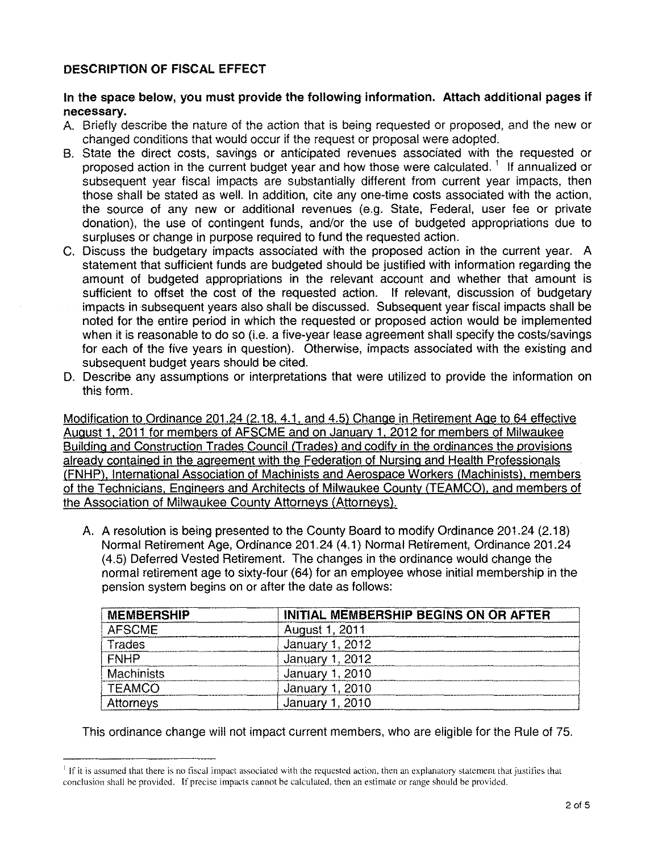## DESCRIPTION OF FISCAL EFFECT

## In the space below, you must provide the following information. Attach additional pages if necessary.

- A. Briefly describe the nature of the action that is being requested or proposed, and the new or changed conditions that would occur if the request or proposal were adopted.
- B. State the direct costs, savings or anticipated revenues associated with the requested or proposed action in the current budget year and how those were calculated.<sup>1</sup> If annualized or subsequent year fiscal impacts are substantially different from current year impacts, then those shall be stated as well. In addition, cite anyone-time costs associated with the action, the source of any new or additional revenues (e.g. State, Federal, user fee or private donation), the use of contingent funds, and/or the use of budgeted appropriations due to surpluses or change in purpose required to fund the requested action.
- C. Discuss the budgetary impacts associated with the proposed action in the current year. A statement that sufficient funds are budgeted should be justified with information regarding the amount of budgeted appropriations in the relevant account and whether that amount is sufficient to offset the cost of the requested action. If relevant, discussion of budgetary impacts in subsequent years also shall be discussed. Subsequent year fiscal impacts shall be noted for the entire period in which the requested or proposed action would be implemented when it is reasonable to do so (i.e. a five-year lease agreement shall specify the costs/savings for each of the five years in question). Otherwise, impacts associated with the existing and subsequent budget years should be cited.
- D. Describe any assumptions or interpretations that were utilized to provide the information on this form.

Modification to Ordinance 201.24 (2.18. 4.1, and 4.5) Change in Retirement Age to 64 effective August 1, 2011 for members of AFSCME and on Januarv 1, 2012 for members of Milwaukee Building and Construction Trades Council (Trades) and codify in the ordinances the provisions already contained in the agreement with the Federation of Nursing and Health Professionals (FNHP), International Association of Machinists and Aerospace Workers (Machinists), members of the Technicians, Engineers and Architects of Milwaukee County (TEAMCO), and members of the Association of Milwaukee County Attorneys (Attorneys).

A. A resolution is being presented to the County Board to modify Ordinance 201.24 (2.18) Normal Retirement Age, Ordinance 201.24 (4.1) Normal Retirement, Ordinance 201.24 (4.5) Deferred Vested Retirement. The changes in the ordinance would change the normal retirement age to sixty-four (64) for an employee whose initial membership in the pension system begins on or after the date as follows:

| <b>MEMBERSHIP</b> | <b>INITIAL MEMBERSHIP BEGINS ON OR AFTER</b> |
|-------------------|----------------------------------------------|
| <b>AFSCME</b>     | August 1, 2011                               |
| Trades            | January 1, 2012                              |
| <b>FNHP</b>       | January 1, 2012                              |
| <b>Machinists</b> | January 1, 2010                              |
| <b>TEAMCO</b>     | January 1, 2010                              |
| Attorneys         | January 1, 2010                              |

This ordinance change will not impact current members, who are eligible for the Rule of 75.

If it is assumed that there is no fiscal impact associated with the requested action, then an explanatory statement that justifies that conclusion shall be provided. If precise impacts cannot be calculated, then an estimate or range should be provided.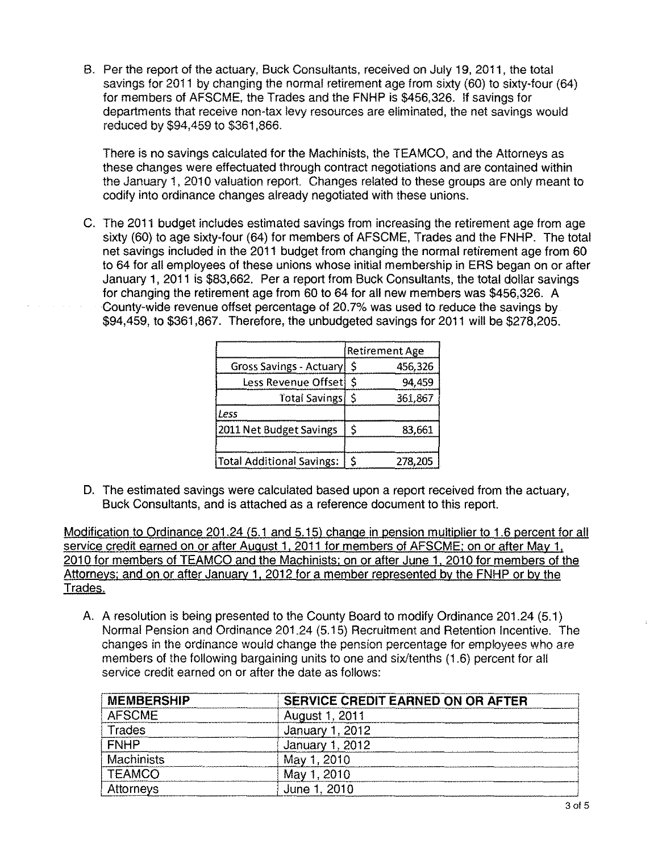B. Per the report of the actuary, Buck Consultants, received on July 19, 2011, the total savings for 2011 by changing the normal retirement age from sixty (60) to sixty-four (64) for members of AFSCME, the Trades and the FNHP is \$456,326. If savings for departments that receive non-tax levy resources are eliminated, the net savings would reduced by \$94,459 to \$361,866.

There is no savings calculated for the Machinists, the TEAMCO, and the Attorneys as these changes were effectuated through contract negotiations and are contained within the January 1, 2010 valuation report. Changes related to these groups are only meant to codify into ordinance changes already negotiated with these unions.

C. The 2011 budget includes estimated savings from increasing the retirement age from age sixty (60) to age sixty-four (64) for members of AFSCME, Trades and the FNHP. The total net savings included in the 2011 budget from changing the normal retirement age from 60 to 64 for all employees of these unions whose initial membership in ERS began on or after January 1, 2011 is \$83,662. Per a report from Buck Consultants, the total dollar savings for changing the retirement age from 60 to 64 for all new members was \$456,326. A County-wide revenue offset percentage of 20.7% was used to reduce the savings by \$94,459, to \$361,867. Therefore, the unbudgeted savings for 2011 will be \$278,205.

|                                  |    | Retirement Age |
|----------------------------------|----|----------------|
| Gross Savings - Actuary          | \$ | 456,326        |
| Less Revenue Offset              | Ś  | 94,459         |
| Total Savings                    | \$ | 361,867        |
| Less                             |    |                |
| 2011 Net Budget Savings          | \$ | 83,661         |
| <b>Total Additional Savings:</b> | \$ | 278,205        |

D. The estimated savings were calculated based upon a report received from the actuary, Buck Consultants, and is attached as a reference document to this report.

Modification to Ordinance 201.24 (5.1 and 5.15) change in pension mUltiplier to 1.6 percent for all service credit earned on or after August 1, 2011 for members of AFSCME; on or after May 1, 2010 for members of TEAMCO and the Machinists: on or after June 1, 2010 for members of the Attorneys: and on or after January 1, 2012 for a member represented by the FNHP or by the Trades.

A. A resolution is being presented to the County Board to modify Ordinance 201.24 (5.1) Normal Pension and Ordinance 201.24 (5.15) Recruitment and Retention Incentive. The changes in the ordinance would change the pension percentage for employees who are members of the following bargaining units to one and six/tenths (1.6) percent for all service credit earned on or after the date as follows:

| <b>MEMBERSHIP</b> | SERVICE CREDIT EARNED ON OR AFTER |
|-------------------|-----------------------------------|
| <b>AFSCME</b>     | August 1, 2011                    |
| Trades            | January 1, 2012                   |
| <b>FNHP</b>       | January 1, 2012                   |
| Machinists        | May 1, 2010                       |
| <b>TEAMCO</b>     | May 1, 2010                       |
| <b>Attorneys</b>  | June 1, 2010                      |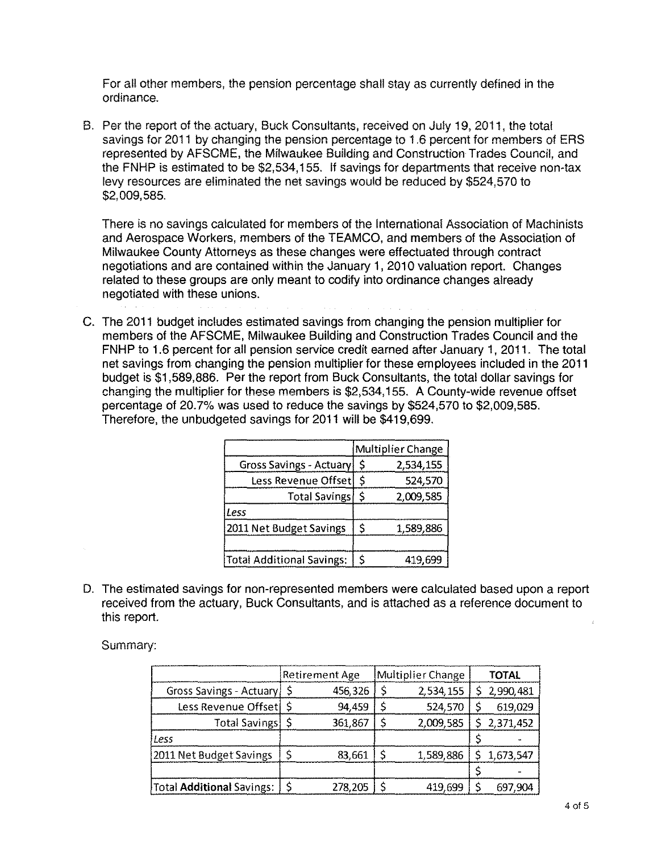For all other members, the pension percentage shall stay as currently defined in the ordinance.

B. Per the report of the actuary, Buck Consultants, received on July 19, 2011, the total savings for 2011 by changing the pension percentage to 1.6 percent for members of ERS represented by AFSCME, the Milwaukee Building and Construction Trades Council, and the FNHP is estimated to be \$2,534,155. If savings for departments that receive non-tax levy resources are eliminated the net savings would be reduced by \$524,570 to \$2,009,585.

There is no savings calculated for members of the International Association of Machinists and Aerospace Workers, members of the TEAMCO, and members of the Association of Milwaukee County Attorneys as these changes were effectuated through contract negotiations and are contained within the January 1, 2010 valuation report. Changes related to these groups are only meant to codify into ordinance changes already negotiated with these unions.

C. The 2011 budget includes estimated savings from changing the pension multiplier for members of the AFSCME, Milwaukee Building and Construction Trades Council and the FNHP to 1.6 percent for all pension service credit earned after January 1, 2011. The total net savings from changing the pension multiplier for these employees included in the 2011 budget is \$1,589,886. Per the report from Buck Consultants, the total dollar savings for changing the multiplier for these members is \$2,534,155. A County-wide revenue offset percentage of 20.7% was used to reduce the savings by \$524,570 to \$2,009,585. Therefore, the unbudgeted savings for 2011 will be \$419,699.

|                                  |    | Multiplier Change |
|----------------------------------|----|-------------------|
| Gross Savings - Actuary          | \$ | 2,534,155         |
| Less Revenue Offset              | \$ | 524,570           |
| <b>Total Savings</b>             | \$ | 2,009,585         |
| Less                             |    |                   |
| 2011 Net Budget Savings          | \$ | 1,589,886         |
| <b>Total Additional Savings:</b> | Ś  | 419,699           |

D. The estimated savings for non-represented members were calculated based upon a report received from the actuary, Buck Consultants, and is attached as a reference document to this report.

Summary:

|                                  | <b>Retirement Age</b> |         | Multiplier Change |           | <b>TOTAL</b> |           |
|----------------------------------|-----------------------|---------|-------------------|-----------|--------------|-----------|
| Gross Savings - Actuary   \$     |                       | 456.326 |                   | 2,534,155 |              | 2,990,481 |
| Less Revenue Offset              |                       | 94,459  |                   | 524,570   |              | 619,029   |
| Total Savings                    |                       | 361.867 |                   | 2,009,585 |              | 2,371,452 |
| Less                             |                       |         |                   |           |              |           |
| 2011 Net Budget Savings          |                       | 83,661  |                   | 1,589,886 |              | 1,673,547 |
|                                  |                       |         |                   |           |              |           |
| Total <b>Additional</b> Savings: |                       | 278,205 |                   | 419,699   |              | 697,904   |